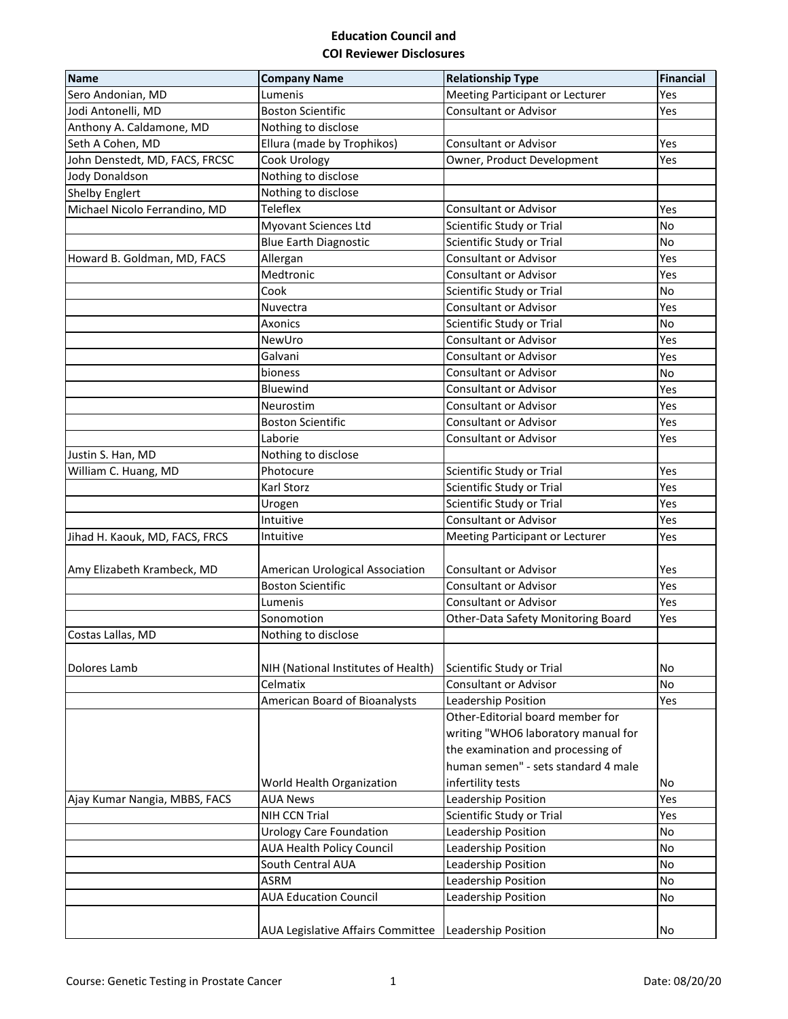## **Education Council and COI Reviewer Disclosures**

| <b>Name</b>                    | <b>Company Name</b>                 | <b>Relationship Type</b>            | <b>Financial</b> |
|--------------------------------|-------------------------------------|-------------------------------------|------------------|
| Sero Andonian, MD              | Lumenis                             | Meeting Participant or Lecturer     | Yes              |
| Jodi Antonelli, MD             | <b>Boston Scientific</b>            | <b>Consultant or Advisor</b>        | Yes              |
| Anthony A. Caldamone, MD       | Nothing to disclose                 |                                     |                  |
| Seth A Cohen, MD               | Ellura (made by Trophikos)          | <b>Consultant or Advisor</b>        | Yes              |
| John Denstedt, MD, FACS, FRCSC | Cook Urology                        | Owner, Product Development          | Yes              |
| Jody Donaldson                 | Nothing to disclose                 |                                     |                  |
| <b>Shelby Englert</b>          | Nothing to disclose                 |                                     |                  |
| Michael Nicolo Ferrandino, MD  | <b>Teleflex</b>                     | <b>Consultant or Advisor</b>        | Yes              |
|                                | <b>Myovant Sciences Ltd</b>         | Scientific Study or Trial           | <b>No</b>        |
|                                | <b>Blue Earth Diagnostic</b>        | Scientific Study or Trial           | <b>No</b>        |
| Howard B. Goldman, MD, FACS    | Allergan                            | <b>Consultant or Advisor</b>        | Yes              |
|                                | Medtronic                           | <b>Consultant or Advisor</b>        | Yes              |
|                                | Cook                                | Scientific Study or Trial           | No               |
|                                | Nuvectra                            | <b>Consultant or Advisor</b>        | Yes              |
|                                | <b>Axonics</b>                      | Scientific Study or Trial           | No               |
|                                | NewUro                              | <b>Consultant or Advisor</b>        | Yes              |
|                                | Galvani                             | <b>Consultant or Advisor</b>        | Yes              |
|                                | bioness                             | <b>Consultant or Advisor</b>        | No               |
|                                | Bluewind                            | <b>Consultant or Advisor</b>        | Yes              |
|                                | Neurostim                           | <b>Consultant or Advisor</b>        | Yes              |
|                                | <b>Boston Scientific</b>            | <b>Consultant or Advisor</b>        | Yes              |
|                                | Laborie                             | <b>Consultant or Advisor</b>        | Yes              |
| Justin S. Han, MD              | Nothing to disclose                 |                                     |                  |
| William C. Huang, MD           | Photocure                           | Scientific Study or Trial           | Yes              |
|                                | Karl Storz                          | Scientific Study or Trial           | Yes              |
|                                | Urogen                              | Scientific Study or Trial           | Yes              |
|                                | Intuitive                           | <b>Consultant or Advisor</b>        | Yes              |
| Jihad H. Kaouk, MD, FACS, FRCS | Intuitive                           | Meeting Participant or Lecturer     | Yes              |
|                                |                                     |                                     |                  |
| Amy Elizabeth Krambeck, MD     | American Urological Association     | Consultant or Advisor               | Yes              |
|                                | <b>Boston Scientific</b>            | <b>Consultant or Advisor</b>        | Yes              |
|                                | Lumenis                             | <b>Consultant or Advisor</b>        | Yes              |
|                                | Sonomotion                          | Other-Data Safety Monitoring Board  | Yes              |
| Costas Lallas, MD              | Nothing to disclose                 |                                     |                  |
| Dolores Lamb                   | NIH (National Institutes of Health) | Scientific Study or Trial           | No               |
|                                | Celmatix                            | <b>Consultant or Advisor</b>        | No               |
|                                | American Board of Bioanalysts       | Leadership Position                 | Yes              |
|                                |                                     | Other-Editorial board member for    |                  |
|                                |                                     | writing "WHO6 laboratory manual for |                  |
|                                |                                     | the examination and processing of   |                  |
|                                |                                     | human semen" - sets standard 4 male |                  |
|                                | World Health Organization           | infertility tests                   | No               |
| Ajay Kumar Nangia, MBBS, FACS  | <b>AUA News</b>                     | Leadership Position                 | Yes              |
|                                | NIH CCN Trial                       | Scientific Study or Trial           | Yes              |
|                                | <b>Urology Care Foundation</b>      | Leadership Position                 | No               |
|                                | <b>AUA Health Policy Council</b>    | Leadership Position                 | No               |
|                                | South Central AUA                   | Leadership Position                 | No               |
|                                | <b>ASRM</b>                         | Leadership Position                 | <b>No</b>        |
|                                | <b>AUA Education Council</b>        | Leadership Position                 | No               |
|                                |                                     |                                     |                  |
|                                | AUA Legislative Affairs Committee   | Leadership Position                 | No               |